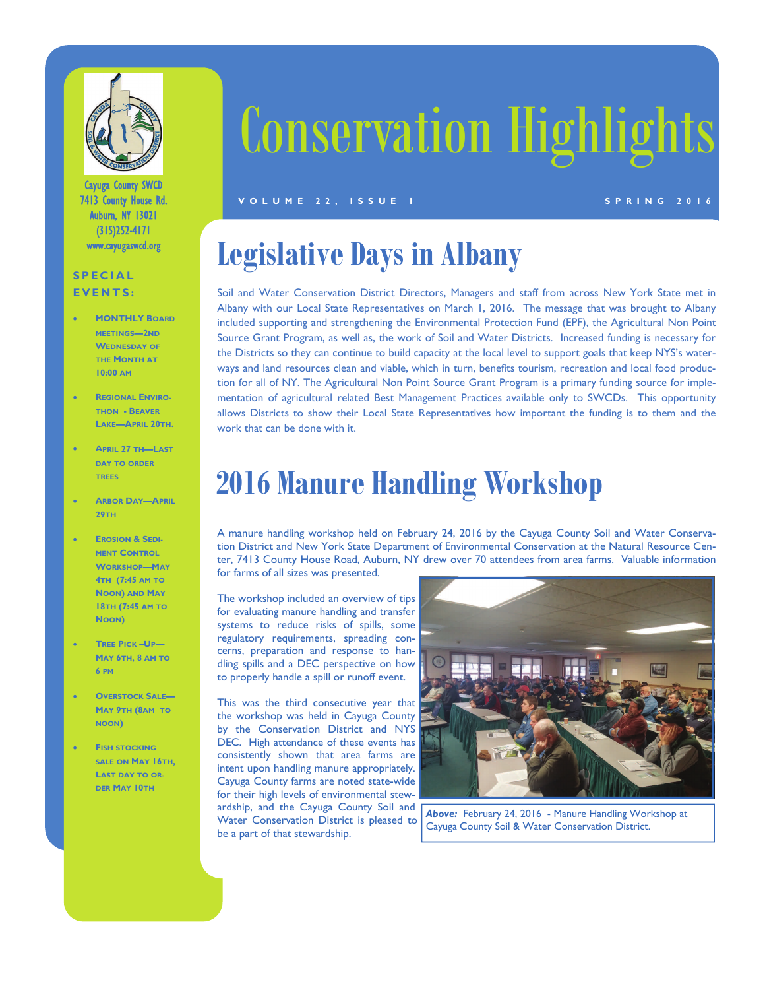

Cayuga County SWCD 7413 County House Rd. Auburn, NY 13021 (315)252-4171 www.cayugaswcd.org

### **SPECIAL EVENTS:**

- **MONTHLY BOARD MEETINGS—2ND WEDNESDAY OF THE MONTH AT 10:00 AM**
- **REGIONAL ENVIRO-THON - BEAVER LAKE—APRIL 20TH.**
- **APRIL 27 TH—LAST DAY TO ORDER TREES**
- **ARBOR DAY—APRIL 29TH**
- **EROSION & SEDI-MENT CONTROL WORKSHOP—MAY 4TH (7:45 AM TO NOON) AND MAY 18TH (7:45 AM TO NOON)**
- **TREE PICK –UP— MAY 6TH, 8 AM TO 6 PM**
- **OVERSTOCK SALE— MAY 9TH (8AM TO NOON)**
- **FISH STOCKING SALE ON MAY 16TH, LAST DAY TO OR-DER MAY 10TH**

# Conservation Highlights

#### **VOLUME 22, ISSUE 1** SPRING 2016

## **Legislative Days in Albany**

Soil and Water Conservation District Directors, Managers and staff from across New York State met in Albany with our Local State Representatives on March 1, 2016. The message that was brought to Albany included supporting and strengthening the Environmental Protection Fund (EPF), the Agricultural Non Point Source Grant Program, as well as, the work of Soil and Water Districts. Increased funding is necessary for the Districts so they can continue to build capacity at the local level to support goals that keep NYS's waterways and land resources clean and viable, which in turn, benefits tourism, recreation and local food production for all of NY. The Agricultural Non Point Source Grant Program is a primary funding source for implementation of agricultural related Best Management Practices available only to SWCDs. This opportunity allows Districts to show their Local State Representatives how important the funding is to them and the work that can be done with it.

### **2016 Manure Handling Workshop**

A manure handling workshop held on February 24, 2016 by the Cayuga County Soil and Water Conservation District and New York State Department of Environmental Conservation at the Natural Resource Center, 7413 County House Road, Auburn, NY drew over 70 attendees from area farms. Valuable information for farms of all sizes was presented.

The workshop included an overview of tips for evaluating manure handling and transfer systems to reduce risks of spills, some regulatory requirements, spreading concerns, preparation and response to handling spills and a DEC perspective on how to properly handle a spill or runoff event.

This was the third consecutive year that the workshop was held in Cayuga County by the Conservation District and NYS DEC. High attendance of these events has consistently shown that area farms are intent upon handling manure appropriately. Cayuga County farms are noted state-wide for their high levels of environmental stewardship, and the Cayuga County Soil and Water Conservation District is pleased to be a part of that stewardship.



*Above:* February 24, 2016 - Manure Handling Workshop at Cayuga County Soil & Water Conservation District.